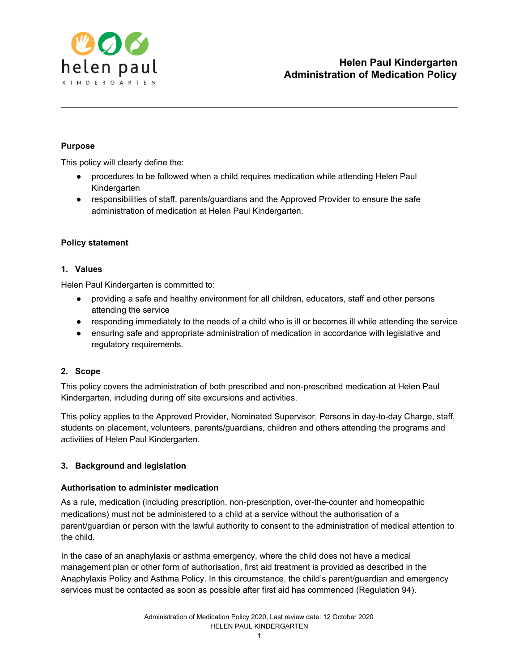

## **Purpose**

This policy will clearly define the:

- procedures to be followed when a child requires medication while attending Helen Paul Kindergarten
- responsibilities of staff, parents/guardians and the Approved Provider to ensure the safe administration of medication at Helen Paul Kindergarten.

### **Policy statement**

### **1. Values**

Helen Paul Kindergarten is committed to:

- providing a safe and healthy environment for all children, educators, staff and other persons attending the service
- responding immediately to the needs of a child who is ill or becomes ill while attending the service
- ensuring safe and appropriate administration of medication in accordance with legislative and regulatory requirements.

## **2. Scope**

This policy covers the administration of both prescribed and non-prescribed medication at Helen Paul Kindergarten, including during off site excursions and activities.

This policy applies to the Approved Provider, Nominated Supervisor, Persons in day-to-day Charge, staff, students on placement, volunteers, parents/guardians, children and others attending the programs and activities of Helen Paul Kindergarten.

## **3. Background and legislation**

### **Authorisation to administer medication**

As a rule, medication (including prescription, non-prescription, over-the-counter and homeopathic medications) must not be administered to a child at a service without the authorisation of a parent/guardian or person with the lawful authority to consent to the administration of medical attention to the child.

In the case of an anaphylaxis or asthma emergency, where the child does not have a medical management plan or other form of authorisation, first aid treatment is provided as described in the Anaphylaxis Policy and Asthma Policy. In this circumstance, the child's parent/guardian and emergency services must be contacted as soon as possible after first aid has commenced (Regulation 94).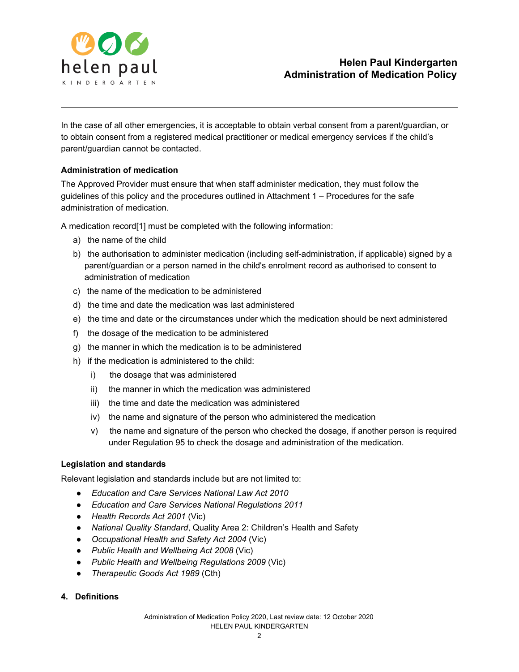

In the case of all other emergencies, it is acceptable to obtain verbal consent from a parent/guardian, or to obtain consent from a registered medical practitioner or medical emergency services if the child's parent/guardian cannot be contacted.

### **Administration of medication**

The Approved Provider must ensure that when staff administer medication, they must follow the guidelines of this policy and the procedures outlined in Attachment 1 – Procedures for the safe administration of medication.

A medication record[1] must be completed with the following information:

- a) the name of the child
- b) the authorisation to administer medication (including self-administration, if applicable) signed by a parent/guardian or a person named in the child's enrolment record as authorised to consent to administration of medication
- c) the name of the medication to be administered
- d) the time and date the medication was last administered
- e) the time and date or the circumstances under which the medication should be next administered
- f) the dosage of the medication to be administered
- g) the manner in which the medication is to be administered
- h) if the medication is administered to the child:
	- i) the dosage that was administered
	- ii) the manner in which the medication was administered
	- iii) the time and date the medication was administered
	- iv) the name and signature of the person who administered the medication
	- v) the name and signature of the person who checked the dosage, if another person is required under Regulation 95 to check the dosage and administration of the medication.

### **Legislation and standards**

Relevant legislation and standards include but are not limited to:

- *● Education and Care Services National Law Act 2010*
- *● Education and Care Services National Regulations 2011*
- *● Health Records Act 2001* (Vic)
- *● National Quality Standard*, Quality Area 2: Children's Health and Safety
- *● Occupational Health and Safety Act 2004* (Vic)
- *● Public Health and Wellbeing Act 2008* (Vic)
- *● Public Health and Wellbeing Regulations 2009* (Vic)
- *● Therapeutic Goods Act 1989* (Cth)
- **4. Definitions**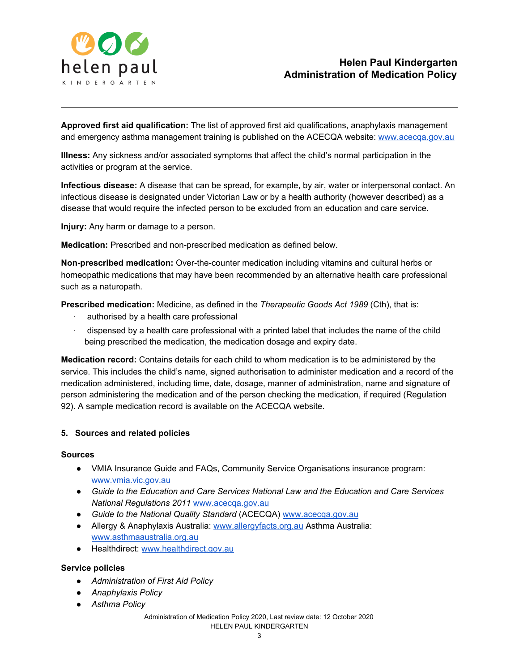

**Approved first aid qualification:** The list of approved first aid qualifications, anaphylaxis management and emergency asthma management training is published on the ACECQA website: [www.acecqa.gov.au](http://www.acecqa.gov.au/)

**Illness:** Any sickness and/or associated symptoms that affect the child's normal participation in the activities or program at the service.

**Infectious disease:** A disease that can be spread, for example, by air, water or interpersonal contact. An infectious disease is designated under Victorian Law or by a health authority (however described) as a disease that would require the infected person to be excluded from an education and care service.

**Injury:** Any harm or damage to a person.

**Medication:** Prescribed and non-prescribed medication as defined below.

**Non-prescribed medication:** Over-the-counter medication including vitamins and cultural herbs or homeopathic medications that may have been recommended by an alternative health care professional such as a naturopath.

**Prescribed medication:** Medicine, as defined in the *Therapeutic Goods Act 1989* (Cth), that is:

- authorised by a health care professional
- · dispensed by a health care professional with a printed label that includes the name of the child being prescribed the medication, the medication dosage and expiry date.

**Medication record:** Contains details for each child to whom medication is to be administered by the service. This includes the child's name, signed authorisation to administer medication and a record of the medication administered, including time, date, dosage, manner of administration, name and signature of person administering the medication and of the person checking the medication, if required (Regulation 92). A sample medication record is available on the ACECQA website.

### **5. Sources and related policies**

#### **Sources**

- VMIA Insurance Guide and FAQs, Community Service Organisations insurance program: [www.vmia.vic.gov.au](http://www.vmia.vic.gov.au/)
- *Guide to the Education and Care Services National Law and the Education and Care Services National Regulations 201[1](http://www.acecqa.gov.au/)* [www.acecqa.gov.au](http://www.acecqa.gov.au/)
- *Guide to the National Quality Standard* (ACECQA) [www.acecqa.gov.au](http://www.acecqa.gov.au/)
- Allergy & Anaphylaxis Australia[:](http://www.allergyfacts.org.au/) [www.allergyfacts.org.au](http://www.allergyfacts.org.au/) Asthma Australia[:](http://www.asthmaaustralia.org.au/) [www.asthmaaustralia.org.au](http://www.asthmaaustralia.org.au/)
- Healthdirect[:](http://www.healthdirect.gov.au/) [www.healthdirect.gov.au](http://www.healthdirect.gov.au/)

#### **Service policies**

- *● Administration of First Aid Policy*
- *● Anaphylaxis Policy*
- *● Asthma Policy*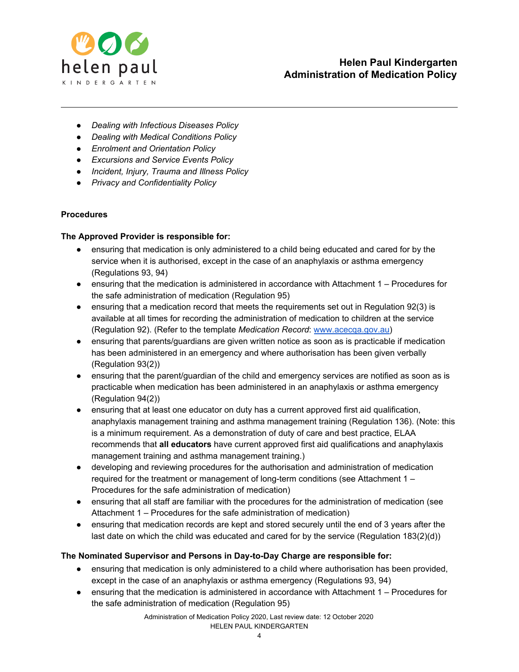

- *● Dealing with Infectious Diseases Policy*
- *● Dealing with Medical Conditions Policy*
- *● Enrolment and Orientation Policy*
- *● Excursions and Service Events Policy*
- *● Incident, Injury, Trauma and Illness Policy*
- *● Privacy and Confidentiality Policy*

## **Procedures**

## **The Approved Provider is responsible for:**

- ensuring that medication is only administered to a child being educated and cared for by the service when it is authorised, except in the case of an anaphylaxis or asthma emergency (Regulations 93, 94)
- ensuring that the medication is administered in accordance with Attachment 1 Procedures for the safe administration of medication (Regulation 95)
- ensuring that a medication record that meets the requirements set out in Regulation 92(3) is available at all times for recording the administration of medication to children at the service (Regulation 92). (Refer to the template *Medication Record*: [www.acecqa.gov.au\)](http://www.acecqa.gov.au/)
- ensuring that parents/guardians are given written notice as soon as is practicable if medication has been administered in an emergency and where authorisation has been given verbally (Regulation 93(2))
- ensuring that the parent/guardian of the child and emergency services are notified as soon as is practicable when medication has been administered in an anaphylaxis or asthma emergency (Regulation 94(2))
- ensuring that at least one educator on duty has a current approved first aid qualification, anaphylaxis management training and asthma management training (Regulation 136). (Note: this is a minimum requirement. As a demonstration of duty of care and best practice, ELAA recommends that **all educators** have current approved first aid qualifications and anaphylaxis management training and asthma management training.)
- developing and reviewing procedures for the authorisation and administration of medication required for the treatment or management of long-term conditions (see Attachment 1 – Procedures for the safe administration of medication)
- ensuring that all staff are familiar with the procedures for the administration of medication (see Attachment 1 – Procedures for the safe administration of medication)
- ensuring that medication records are kept and stored securely until the end of 3 years after the last date on which the child was educated and cared for by the service (Regulation 183(2)(d))

## **The Nominated Supervisor and Persons in Day-to-Day Charge are responsible for:**

- ensuring that medication is only administered to a child where authorisation has been provided, except in the case of an anaphylaxis or asthma emergency (Regulations 93, 94)
- ensuring that the medication is administered in accordance with Attachment 1 Procedures for the safe administration of medication (Regulation 95)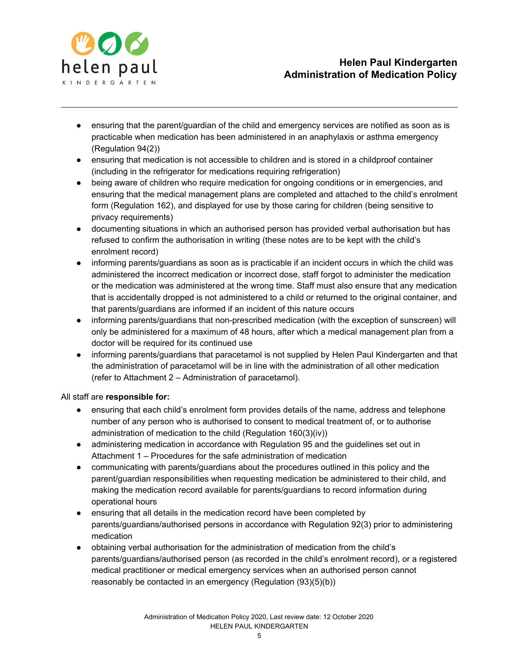

- ensuring that the parent/guardian of the child and emergency services are notified as soon as is practicable when medication has been administered in an anaphylaxis or asthma emergency (Regulation 94(2))
- ensuring that medication is not accessible to children and is stored in a childproof container (including in the refrigerator for medications requiring refrigeration)
- being aware of children who require medication for ongoing conditions or in emergencies, and ensuring that the medical management plans are completed and attached to the child's enrolment form (Regulation 162), and displayed for use by those caring for children (being sensitive to privacy requirements)
- documenting situations in which an authorised person has provided verbal authorisation but has refused to confirm the authorisation in writing (these notes are to be kept with the child's enrolment record)
- informing parents/guardians as soon as is practicable if an incident occurs in which the child was administered the incorrect medication or incorrect dose, staff forgot to administer the medication or the medication was administered at the wrong time. Staff must also ensure that any medication that is accidentally dropped is not administered to a child or returned to the original container, and that parents/guardians are informed if an incident of this nature occurs
- informing parents/guardians that non-prescribed medication (with the exception of sunscreen) will only be administered for a maximum of 48 hours, after which a medical management plan from a doctor will be required for its continued use
- informing parents/guardians that paracetamol is not supplied by Helen Paul Kindergarten and that the administration of paracetamol will be in line with the administration of all other medication (refer to Attachment 2 – Administration of paracetamol).

## All staff are **responsible for:**

- ensuring that each child's enrolment form provides details of the name, address and telephone number of any person who is authorised to consent to medical treatment of, or to authorise administration of medication to the child (Regulation 160(3)(iv))
- administering medication in accordance with Regulation 95 and the guidelines set out in Attachment 1 – Procedures for the safe administration of medication
- communicating with parents/guardians about the procedures outlined in this policy and the parent/guardian responsibilities when requesting medication be administered to their child, and making the medication record available for parents/guardians to record information during operational hours
- ensuring that all details in the medication record have been completed by parents/guardians/authorised persons in accordance with Regulation 92(3) prior to administering medication
- obtaining verbal authorisation for the administration of medication from the child's parents/guardians/authorised person (as recorded in the child's enrolment record), or a registered medical practitioner or medical emergency services when an authorised person cannot reasonably be contacted in an emergency (Regulation (93)(5)(b))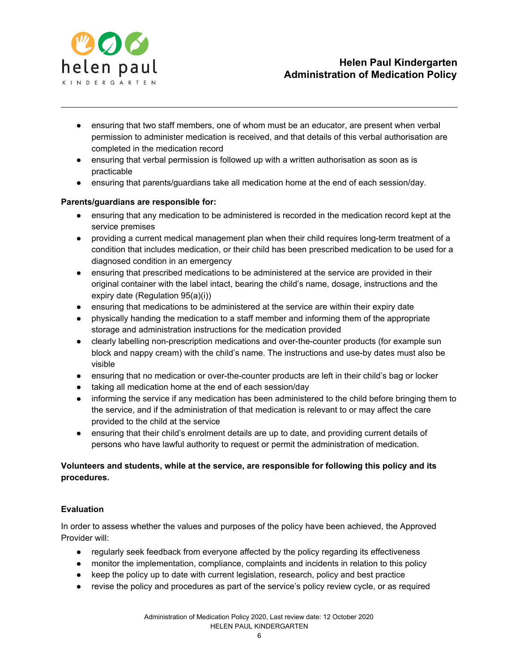

- ensuring that two staff members, one of whom must be an educator, are present when verbal permission to administer medication is received, and that details of this verbal authorisation are completed in the medication record
- ensuring that verbal permission is followed up with a written authorisation as soon as is practicable
- ensuring that parents/guardians take all medication home at the end of each session/day.

## **Parents/guardians are responsible for:**

- ensuring that any medication to be administered is recorded in the medication record kept at the service premises
- providing a current medical management plan when their child requires long-term treatment of a condition that includes medication, or their child has been prescribed medication to be used for a diagnosed condition in an emergency
- ensuring that prescribed medications to be administered at the service are provided in their original container with the label intact, bearing the child's name, dosage, instructions and the expiry date (Regulation 95(a)(i))
- ensuring that medications to be administered at the service are within their expiry date
- physically handing the medication to a staff member and informing them of the appropriate storage and administration instructions for the medication provided
- clearly labelling non-prescription medications and over-the-counter products (for example sun block and nappy cream) with the child's name. The instructions and use-by dates must also be visible
- ensuring that no medication or over-the-counter products are left in their child's bag or locker
- taking all medication home at the end of each session/day
- informing the service if any medication has been administered to the child before bringing them to the service, and if the administration of that medication is relevant to or may affect the care provided to the child at the service
- ensuring that their child's enrolment details are up to date, and providing current details of persons who have lawful authority to request or permit the administration of medication.

## **Volunteers and students, while at the service, are responsible for following this policy and its procedures.**

## **Evaluation**

In order to assess whether the values and purposes of the policy have been achieved, the Approved Provider will:

- regularly seek feedback from everyone affected by the policy regarding its effectiveness
- monitor the implementation, compliance, complaints and incidents in relation to this policy
- keep the policy up to date with current legislation, research, policy and best practice
- revise the policy and procedures as part of the service's policy review cycle, or as required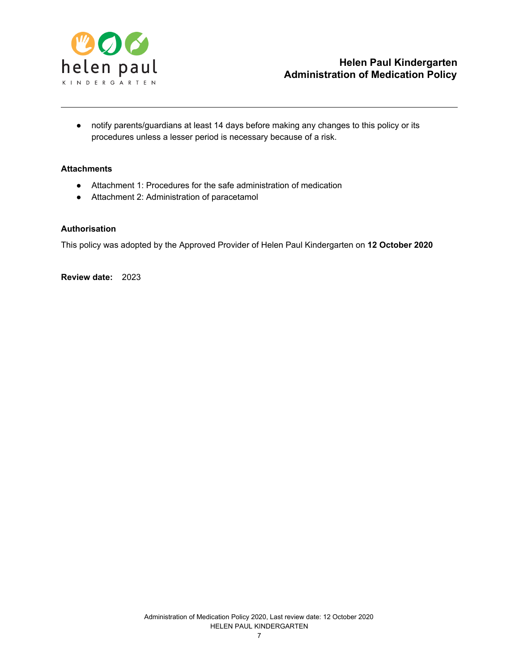

● notify parents/guardians at least 14 days before making any changes to this policy or its procedures unless a lesser period is necessary because of a risk.

## **Attachments**

- Attachment 1: Procedures for the safe administration of medication
- Attachment 2: Administration of paracetamol

#### **Authorisation**

This policy was adopted by the Approved Provider of Helen Paul Kindergarten on **12 October 2020**

**Review date:** 2023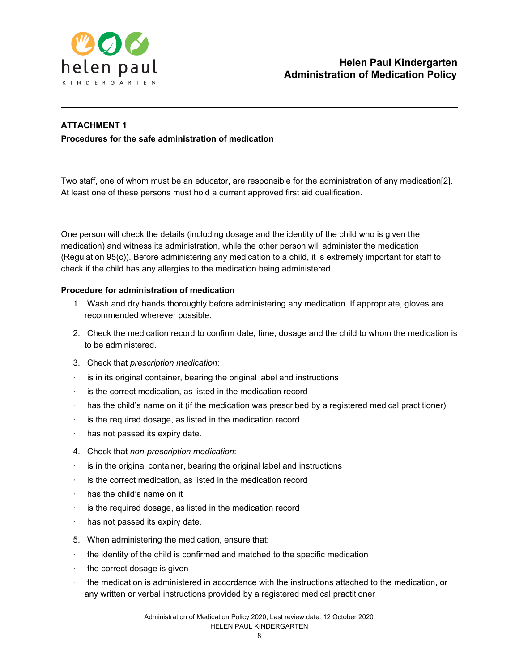

## **ATTACHMENT 1**

**Procedures for the safe administration of medication**

Two staff, one of whom must be an educator, are responsible for the administration of any medication[2]. At least one of these persons must hold a current approved first aid qualification.

One person will check the details (including dosage and the identity of the child who is given the medication) and witness its administration, while the other person will administer the medication (Regulation 95(c)). Before administering any medication to a child, it is extremely important for staff to check if the child has any allergies to the medication being administered.

## **Procedure for administration of medication**

- 1. Wash and dry hands thoroughly before administering any medication. If appropriate, gloves are recommended wherever possible.
- 2. Check the medication record to confirm date, time, dosage and the child to whom the medication is to be administered.
- 3. Check that *prescription medication*:
- is in its original container, bearing the original label and instructions
- · is the correct medication, as listed in the medication record
- has the child's name on it (if the medication was prescribed by a registered medical practitioner)
- is the required dosage, as listed in the medication record
- has not passed its expiry date.
- 4. Check that *non-prescription medication*:
- is in the original container, bearing the original label and instructions
- is the correct medication, as listed in the medication record
- has the child's name on it
- is the required dosage, as listed in the medication record
- has not passed its expiry date.
- 5. When administering the medication, ensure that:
- the identity of the child is confirmed and matched to the specific medication
- · the correct dosage is given
- the medication is administered in accordance with the instructions attached to the medication, or any written or verbal instructions provided by a registered medical practitioner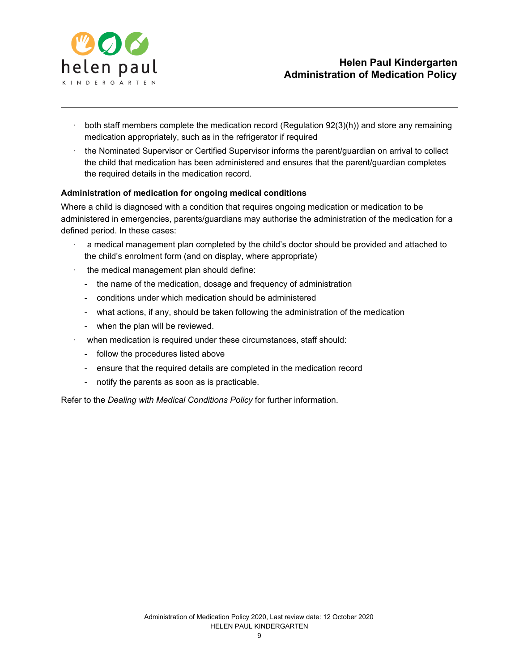

# **Helen Paul Kindergarten Administration of Medication Policy**

- both staff members complete the medication record (Regulation 92(3)(h)) and store any remaining medication appropriately, such as in the refrigerator if required
- the Nominated Supervisor or Certified Supervisor informs the parent/guardian on arrival to collect the child that medication has been administered and ensures that the parent/guardian completes the required details in the medication record.

## **Administration of medication for ongoing medical conditions**

Where a child is diagnosed with a condition that requires ongoing medication or medication to be administered in emergencies, parents/guardians may authorise the administration of the medication for a defined period. In these cases:

- · a medical management plan completed by the child's doctor should be provided and attached to the child's enrolment form (and on display, where appropriate)
- the medical management plan should define:
	- the name of the medication, dosage and frequency of administration
	- conditions under which medication should be administered
	- what actions, if any, should be taken following the administration of the medication
	- when the plan will be reviewed.
- when medication is required under these circumstances, staff should:
	- follow the procedures listed above
	- ensure that the required details are completed in the medication record
	- notify the parents as soon as is practicable.

Refer to the *Dealing with Medical Conditions Policy* for further information.